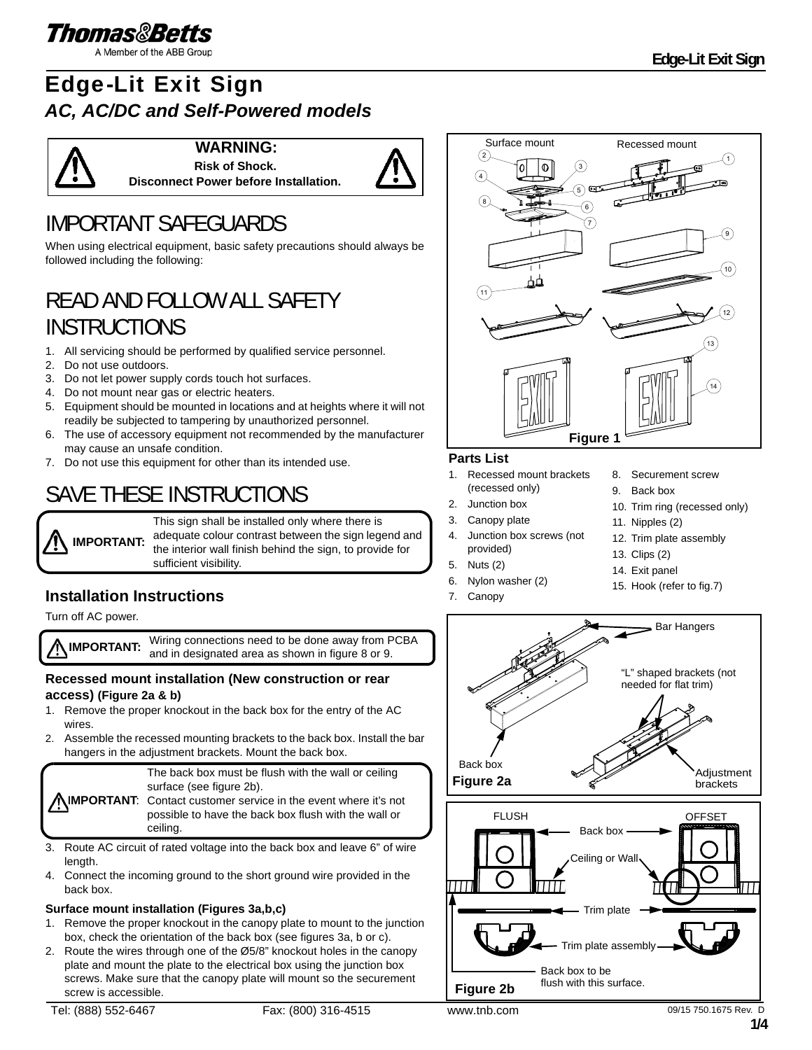

A Member of the ABB Group

# Edge-Lit Exit Sign *AC, AC/DC and Self-Powered models*



**WARNING: Risk of Shock.**



# IMPORTANT SAFEGUARDS

When using electrical equipment, basic safety precautions should always be followed including the following:

**Disconnect Power before Installation.**

# READ AND FOLLOW ALL SAFETY **INSTRUCTIONS**

- 1. All servicing should be performed by qualified service personnel.
- 2. Do not use outdoors.
- 3. Do not let power supply cords touch hot surfaces.
- 4. Do not mount near gas or electric heaters.
- 5. Equipment should be mounted in locations and at heights where it will not readily be subjected to tampering by unauthorized personnel.
- 6. The use of accessory equipment not recommended by the manufacturer may cause an unsafe condition.
- 7. Do not use this equipment for other than its intended use.

# SAVE THESE INSTRUCTIONS

**IMPORTANT:** This sign shall be installed only where there is adequate colour contrast between the sign legend and the interior wall finish behind the sign, to provide for sufficient visibility.

## **Installation Instructions**

Turn off AC power.

**IMPORTANT:** Wiring connections need to be done away from PCBA and in designated area as shown in figure 8 or 9.

### **Recessed mount installation (New construction or rear access) (Figure 2a & b)**

- 1. Remove the proper knockout in the back box for the entry of the AC wires.
- 2. Assemble the recessed mounting brackets to the back box. Install the bar hangers in the adjustment brackets. Mount the back box.

The back box must be flush with the wall or ceiling surface (see figure 2b).

**IMPORTANT:** Contact customer service in the event where it's not possible to have the back box flush with the wall or ceiling.

- 3. Route AC circuit of rated voltage into the back box and leave 6" of wire length.
- 4. Connect the incoming ground to the short ground wire provided in the back box.

#### **Surface mount installation (Figures 3a,b,c)**

- 1. Remove the proper knockout in the canopy plate to mount to the junction box, check the orientation of the back box (see figures 3a, b or c).
- 2. Route the wires through one of the Ø5/8" knockout holes in the canopy plate and mount the plate to the electrical box using the junction box screws. Make sure that the canopy plate will mount so the securement screw is accessible.



### **Parts List**

- 1. Recessed mount brackets (recessed only)
- 2. Junction box
- 3. Canopy plate
- 4. Junction box screws (not provided)
- 5. Nuts (2)
- 6. Nylon washer (2)
- 7. Canopy
- 8. Securement screw
- 9. Back box
- 10. Trim ring (recessed only)
- 11. Nipples (2)
- 12. Trim plate assembly
- 13. Clips (2)
- 14. Exit panel
- 15. Hook (refer to fig.7)

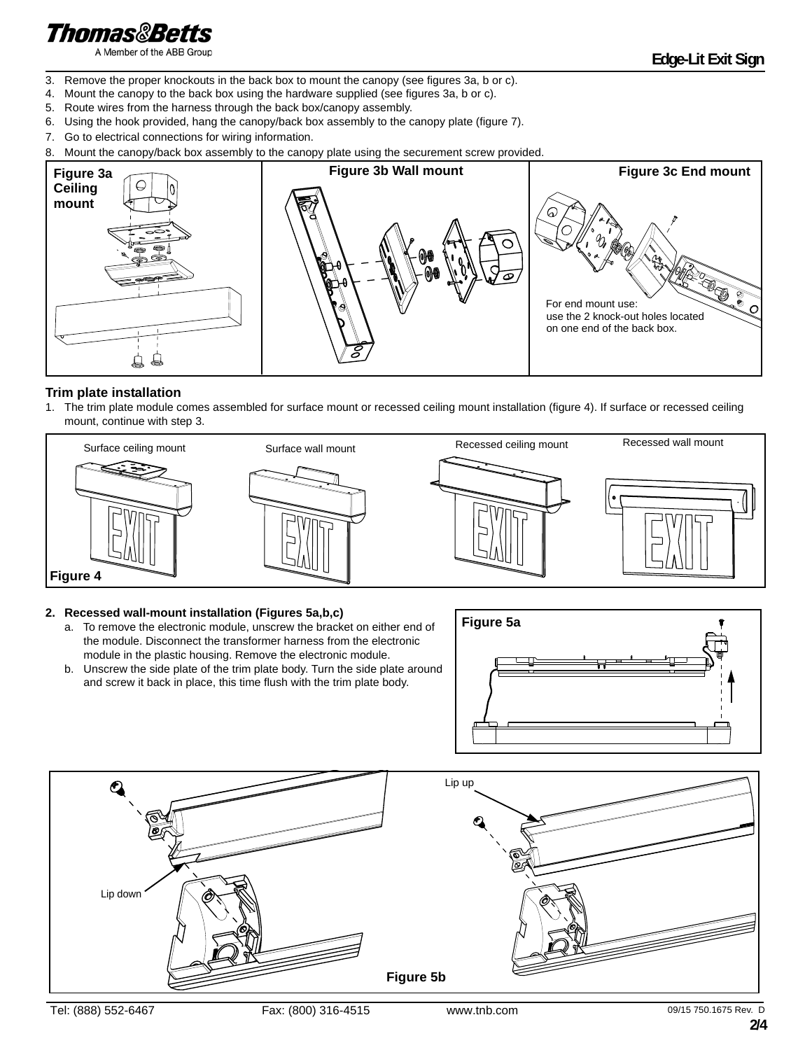# **Thomas&Betts**

A Member of the ABB Group

- 3. Remove the proper knockouts in the back box to mount the canopy (see figures 3a, b or c).
- 4. Mount the canopy to the back box using the hardware supplied (see figures 3a, b or c).
- 5. Route wires from the harness through the back box/canopy assembly.
- 6. Using the hook provided, hang the canopy/back box assembly to the canopy plate (figure 7).
- 7. Go to electrical connections for wiring information.
- 8. Mount the canopy/back box assembly to the canopy plate using the securement screw provided.



#### **Trim plate installation**

1. The trim plate module comes assembled for surface mount or recessed ceiling mount installation (figure 4). If surface or recessed ceiling mount, continue with step 3.



#### **2. Recessed wall-mount installation (Figures 5a,b,c)**

- a. To remove the electronic module, unscrew the bracket on either end of the module. Disconnect the transformer harness from the electronic module in the plastic housing. Remove the electronic module.
- b. Unscrew the side plate of the trim plate body. Turn the side plate around and screw it back in place, this time flush with the trim plate body.



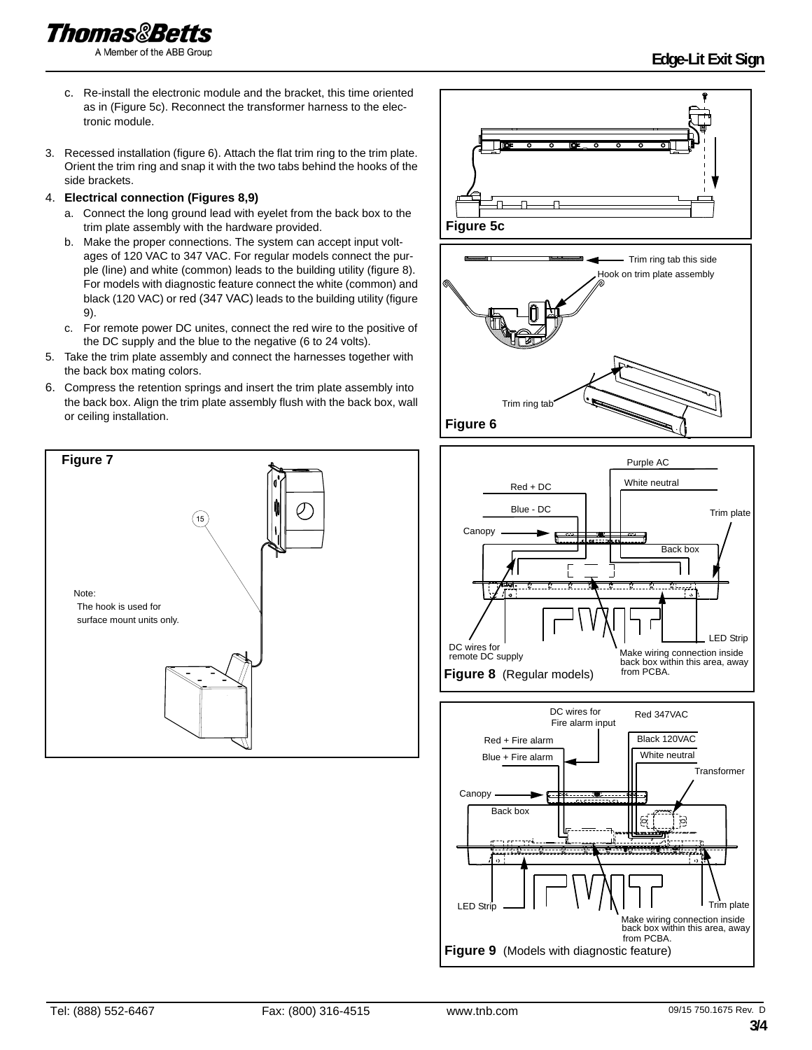**Thomas&Betts** 

A Member of the ABB Group

- c. Re-install the electronic module and the bracket, this time oriented as in (Figure 5c). Reconnect the transformer harness to the electronic module.
- 3. Recessed installation (figure 6). Attach the flat trim ring to the trim plate. Orient the trim ring and snap it with the two tabs behind the hooks of the side brackets.

#### 4. **Electrical connection (Figures 8,9)**

- a. Connect the long ground lead with eyelet from the back box to the trim plate assembly with the hardware provided.
- b. Make the proper connections. The system can accept input voltages of 120 VAC to 347 VAC. For regular models connect the purple (line) and white (common) leads to the building utility (figure 8). For models with diagnostic feature connect the white (common) and black (120 VAC) or red (347 VAC) leads to the building utility (figure 9).
- c. For remote power DC unites, connect the red wire to the positive of the DC supply and the blue to the negative (6 to 24 volts).
- 5. Take the trim plate assembly and connect the harnesses together with the back box mating colors.
- 6. Compress the retention springs and insert the trim plate assembly into the back box. Align the trim plate assembly flush with the back box, wall or ceiling installation.